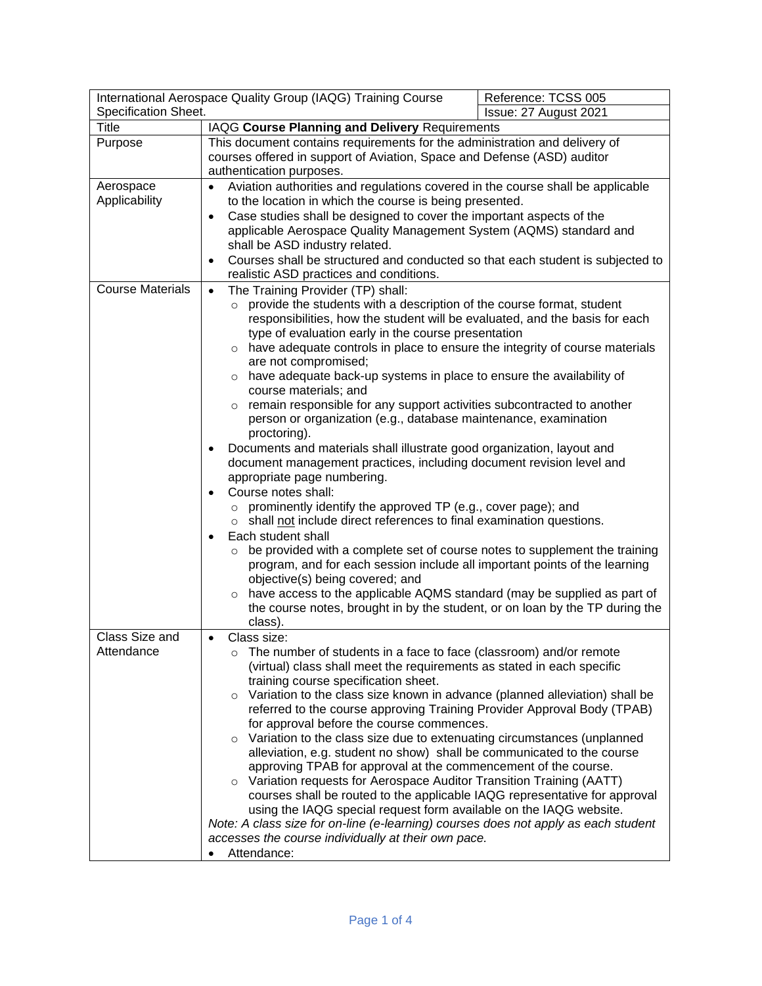| International Aerospace Quality Group (IAQG) Training Course |                                                                                                                                                                                                                                                                                                                                                                                                                                                                                                                                                                                                                                                                                                                                                                                                                                                                                                                                                                                                                                                                                                                                                                                                                                                                                                                                                                   | Reference: TCSS 005   |
|--------------------------------------------------------------|-------------------------------------------------------------------------------------------------------------------------------------------------------------------------------------------------------------------------------------------------------------------------------------------------------------------------------------------------------------------------------------------------------------------------------------------------------------------------------------------------------------------------------------------------------------------------------------------------------------------------------------------------------------------------------------------------------------------------------------------------------------------------------------------------------------------------------------------------------------------------------------------------------------------------------------------------------------------------------------------------------------------------------------------------------------------------------------------------------------------------------------------------------------------------------------------------------------------------------------------------------------------------------------------------------------------------------------------------------------------|-----------------------|
| Specification Sheet.                                         |                                                                                                                                                                                                                                                                                                                                                                                                                                                                                                                                                                                                                                                                                                                                                                                                                                                                                                                                                                                                                                                                                                                                                                                                                                                                                                                                                                   | Issue: 27 August 2021 |
| <b>Title</b>                                                 | IAQG Course Planning and Delivery Requirements                                                                                                                                                                                                                                                                                                                                                                                                                                                                                                                                                                                                                                                                                                                                                                                                                                                                                                                                                                                                                                                                                                                                                                                                                                                                                                                    |                       |
| Purpose                                                      | This document contains requirements for the administration and delivery of<br>courses offered in support of Aviation, Space and Defense (ASD) auditor<br>authentication purposes.                                                                                                                                                                                                                                                                                                                                                                                                                                                                                                                                                                                                                                                                                                                                                                                                                                                                                                                                                                                                                                                                                                                                                                                 |                       |
| Aerospace<br>Applicability                                   | Aviation authorities and regulations covered in the course shall be applicable<br>$\bullet$<br>to the location in which the course is being presented.                                                                                                                                                                                                                                                                                                                                                                                                                                                                                                                                                                                                                                                                                                                                                                                                                                                                                                                                                                                                                                                                                                                                                                                                            |                       |
|                                                              | Case studies shall be designed to cover the important aspects of the<br>$\bullet$<br>applicable Aerospace Quality Management System (AQMS) standard and<br>shall be ASD industry related.<br>Courses shall be structured and conducted so that each student is subjected to<br>$\bullet$<br>realistic ASD practices and conditions.                                                                                                                                                                                                                                                                                                                                                                                                                                                                                                                                                                                                                                                                                                                                                                                                                                                                                                                                                                                                                               |                       |
| <b>Course Materials</b>                                      | The Training Provider (TP) shall:<br>$\bullet$<br>provide the students with a description of the course format, student<br>$\circ$<br>responsibilities, how the student will be evaluated, and the basis for each<br>type of evaluation early in the course presentation<br>o have adequate controls in place to ensure the integrity of course materials<br>are not compromised;<br>o have adequate back-up systems in place to ensure the availability of<br>course materials; and<br>o remain responsible for any support activities subcontracted to another<br>person or organization (e.g., database maintenance, examination<br>proctoring).<br>Documents and materials shall illustrate good organization, layout and<br>٠<br>document management practices, including document revision level and<br>appropriate page numbering.<br>Course notes shall:<br>$\bullet$<br>$\circ$ prominently identify the approved TP (e.g., cover page); and<br>shall not include direct references to final examination questions.<br>$\circ$<br>Each student shall<br>$\bullet$<br>be provided with a complete set of course notes to supplement the training<br>$\circ$<br>program, and for each session include all important points of the learning<br>objective(s) being covered; and<br>o have access to the applicable AQMS standard (may be supplied as part of |                       |
|                                                              | the course notes, brought in by the student, or on loan by the TP during the<br>class).                                                                                                                                                                                                                                                                                                                                                                                                                                                                                                                                                                                                                                                                                                                                                                                                                                                                                                                                                                                                                                                                                                                                                                                                                                                                           |                       |
| Class Size and<br>Attendance                                 | Class size:<br>$\bullet$<br>The number of students in a face to face (classroom) and/or remote<br>(virtual) class shall meet the requirements as stated in each specific<br>training course specification sheet.<br>Variation to the class size known in advance (planned alleviation) shall be<br>$\circ$<br>referred to the course approving Training Provider Approval Body (TPAB)<br>for approval before the course commences.<br>o Variation to the class size due to extenuating circumstances (unplanned<br>alleviation, e.g. student no show) shall be communicated to the course<br>approving TPAB for approval at the commencement of the course.<br>o Variation requests for Aerospace Auditor Transition Training (AATT)<br>courses shall be routed to the applicable IAQG representative for approval<br>using the IAQG special request form available on the IAQG website.<br>Note: A class size for on-line (e-learning) courses does not apply as each student<br>accesses the course individually at their own pace.<br>Attendance:<br>$\bullet$                                                                                                                                                                                                                                                                                                 |                       |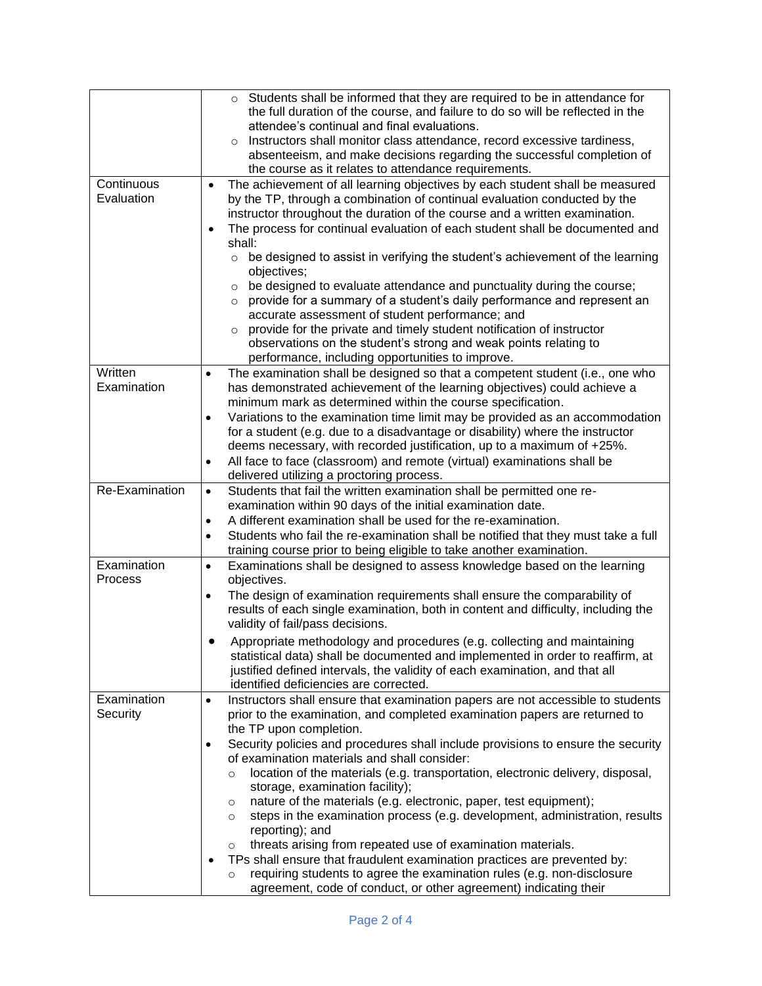|                         | o Students shall be informed that they are required to be in attendance for<br>the full duration of the course, and failure to do so will be reflected in the<br>attendee's continual and final evaluations.<br>Instructors shall monitor class attendance, record excessive tardiness,<br>$\Omega$<br>absenteeism, and make decisions regarding the successful completion of<br>the course as it relates to attendance requirements. |
|-------------------------|---------------------------------------------------------------------------------------------------------------------------------------------------------------------------------------------------------------------------------------------------------------------------------------------------------------------------------------------------------------------------------------------------------------------------------------|
| Continuous              |                                                                                                                                                                                                                                                                                                                                                                                                                                       |
| Evaluation              | The achievement of all learning objectives by each student shall be measured<br>$\bullet$<br>by the TP, through a combination of continual evaluation conducted by the<br>instructor throughout the duration of the course and a written examination.<br>The process for continual evaluation of each student shall be documented and<br>$\bullet$<br>shall:                                                                          |
|                         | be designed to assist in verifying the student's achievement of the learning<br>$\circ$<br>objectives;<br>be designed to evaluate attendance and punctuality during the course;<br>$\circ$<br>provide for a summary of a student's daily performance and represent an<br>$\circ$                                                                                                                                                      |
|                         | accurate assessment of student performance; and<br>provide for the private and timely student notification of instructor<br>$\circ$<br>observations on the student's strong and weak points relating to<br>performance, including opportunities to improve.                                                                                                                                                                           |
| Written<br>Examination  | The examination shall be designed so that a competent student (i.e., one who<br>$\bullet$<br>has demonstrated achievement of the learning objectives) could achieve a                                                                                                                                                                                                                                                                 |
|                         | minimum mark as determined within the course specification.<br>Variations to the examination time limit may be provided as an accommodation<br>$\bullet$<br>for a student (e.g. due to a disadvantage or disability) where the instructor                                                                                                                                                                                             |
|                         | deems necessary, with recorded justification, up to a maximum of +25%.<br>All face to face (classroom) and remote (virtual) examinations shall be<br>٠                                                                                                                                                                                                                                                                                |
|                         | delivered utilizing a proctoring process.                                                                                                                                                                                                                                                                                                                                                                                             |
| Re-Examination          | Students that fail the written examination shall be permitted one re-<br>$\bullet$                                                                                                                                                                                                                                                                                                                                                    |
|                         | examination within 90 days of the initial examination date.                                                                                                                                                                                                                                                                                                                                                                           |
|                         | A different examination shall be used for the re-examination.<br>٠                                                                                                                                                                                                                                                                                                                                                                    |
|                         | Students who fail the re-examination shall be notified that they must take a full<br>$\bullet$<br>training course prior to being eligible to take another examination.                                                                                                                                                                                                                                                                |
| Examination<br>Process  | Examinations shall be designed to assess knowledge based on the learning<br>$\bullet$<br>objectives.                                                                                                                                                                                                                                                                                                                                  |
|                         | The design of examination requirements shall ensure the comparability of<br>$\bullet$<br>results of each single examination, both in content and difficulty, including the<br>validity of fail/pass decisions.                                                                                                                                                                                                                        |
|                         | Appropriate methodology and procedures (e.g. collecting and maintaining<br>statistical data) shall be documented and implemented in order to reaffirm, at<br>justified defined intervals, the validity of each examination, and that all<br>identified deficiencies are corrected.                                                                                                                                                    |
| Examination<br>Security | Instructors shall ensure that examination papers are not accessible to students<br>$\bullet$<br>prior to the examination, and completed examination papers are returned to<br>the TP upon completion.                                                                                                                                                                                                                                 |
|                         | Security policies and procedures shall include provisions to ensure the security<br>٠<br>of examination materials and shall consider:<br>location of the materials (e.g. transportation, electronic delivery, disposal,<br>$\circ$                                                                                                                                                                                                    |
|                         | storage, examination facility);<br>nature of the materials (e.g. electronic, paper, test equipment);<br>$\circ$<br>steps in the examination process (e.g. development, administration, results<br>$\circ$<br>reporting); and                                                                                                                                                                                                          |
|                         | threats arising from repeated use of examination materials.<br>$\circ$                                                                                                                                                                                                                                                                                                                                                                |
|                         | TPs shall ensure that fraudulent examination practices are prevented by:<br>$\bullet$                                                                                                                                                                                                                                                                                                                                                 |
|                         | requiring students to agree the examination rules (e.g. non-disclosure<br>$\circ$                                                                                                                                                                                                                                                                                                                                                     |
|                         | agreement, code of conduct, or other agreement) indicating their                                                                                                                                                                                                                                                                                                                                                                      |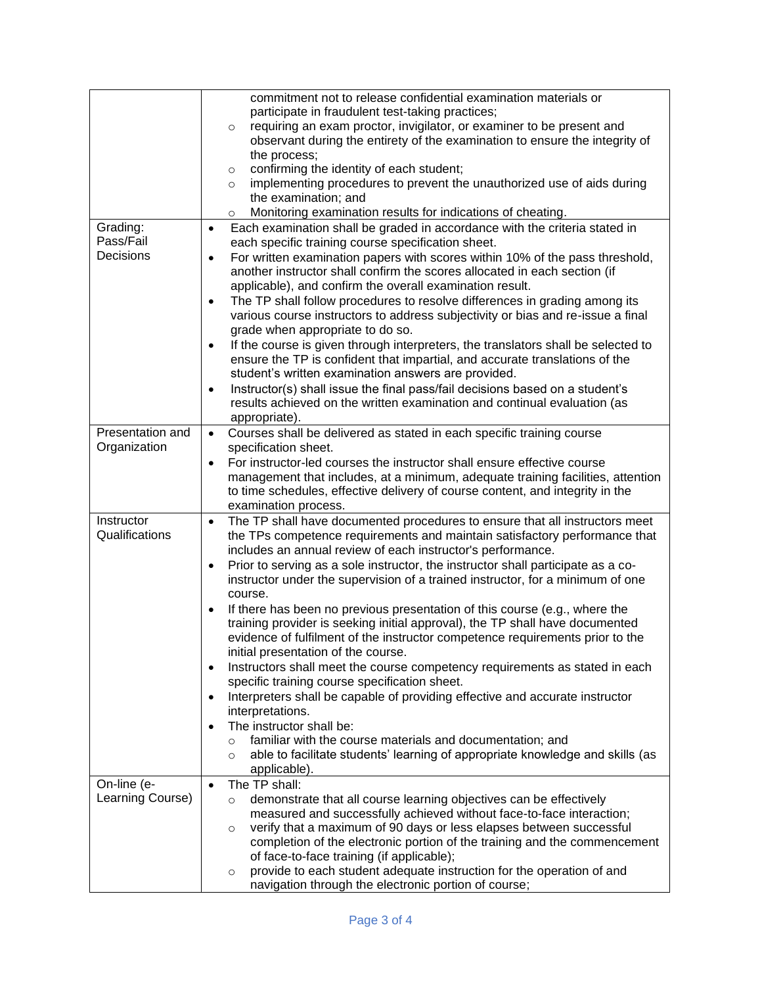|                       | commitment not to release confidential examination materials or                                                                               |  |
|-----------------------|-----------------------------------------------------------------------------------------------------------------------------------------------|--|
|                       | participate in fraudulent test-taking practices;                                                                                              |  |
|                       | requiring an exam proctor, invigilator, or examiner to be present and<br>$\circ$                                                              |  |
|                       | observant during the entirety of the examination to ensure the integrity of                                                                   |  |
|                       | the process;                                                                                                                                  |  |
|                       | confirming the identity of each student;                                                                                                      |  |
|                       | $\circ$                                                                                                                                       |  |
|                       | implementing procedures to prevent the unauthorized use of aids during<br>$\circ$                                                             |  |
|                       | the examination; and                                                                                                                          |  |
|                       | Monitoring examination results for indications of cheating.<br>$\circ$                                                                        |  |
| Grading:<br>Pass/Fail | Each examination shall be graded in accordance with the criteria stated in<br>$\bullet$<br>each specific training course specification sheet. |  |
| Decisions             | For written examination papers with scores within 10% of the pass threshold,<br>$\bullet$                                                     |  |
|                       | another instructor shall confirm the scores allocated in each section (if                                                                     |  |
|                       | applicable), and confirm the overall examination result.                                                                                      |  |
|                       | The TP shall follow procedures to resolve differences in grading among its<br>$\bullet$                                                       |  |
|                       | various course instructors to address subjectivity or bias and re-issue a final                                                               |  |
|                       | grade when appropriate to do so.                                                                                                              |  |
|                       | If the course is given through interpreters, the translators shall be selected to<br>$\bullet$                                                |  |
|                       |                                                                                                                                               |  |
|                       | ensure the TP is confident that impartial, and accurate translations of the                                                                   |  |
|                       | student's written examination answers are provided.                                                                                           |  |
|                       | Instructor(s) shall issue the final pass/fail decisions based on a student's<br>$\bullet$                                                     |  |
|                       | results achieved on the written examination and continual evaluation (as                                                                      |  |
|                       | appropriate).                                                                                                                                 |  |
| Presentation and      | Courses shall be delivered as stated in each specific training course<br>$\bullet$                                                            |  |
| Organization          | specification sheet.                                                                                                                          |  |
|                       | For instructor-led courses the instructor shall ensure effective course<br>$\bullet$                                                          |  |
|                       | management that includes, at a minimum, adequate training facilities, attention                                                               |  |
|                       | to time schedules, effective delivery of course content, and integrity in the                                                                 |  |
|                       | examination process.                                                                                                                          |  |
| Instructor            | The TP shall have documented procedures to ensure that all instructors meet<br>$\bullet$                                                      |  |
| Qualifications        | the TPs competence requirements and maintain satisfactory performance that                                                                    |  |
|                       | includes an annual review of each instructor's performance.                                                                                   |  |
|                       |                                                                                                                                               |  |
|                       | Prior to serving as a sole instructor, the instructor shall participate as a co-<br>$\bullet$                                                 |  |
|                       | instructor under the supervision of a trained instructor, for a minimum of one                                                                |  |
|                       | course.                                                                                                                                       |  |
|                       | If there has been no previous presentation of this course (e.g., where the<br>$\bullet$                                                       |  |
|                       | training provider is seeking initial approval), the TP shall have documented                                                                  |  |
|                       | evidence of fulfilment of the instructor competence requirements prior to the                                                                 |  |
|                       | initial presentation of the course.                                                                                                           |  |
|                       | Instructors shall meet the course competency requirements as stated in each<br>$\bullet$                                                      |  |
|                       | specific training course specification sheet.                                                                                                 |  |
|                       | Interpreters shall be capable of providing effective and accurate instructor<br>$\bullet$                                                     |  |
|                       | interpretations.                                                                                                                              |  |
|                       | The instructor shall be:<br>$\bullet$                                                                                                         |  |
|                       | familiar with the course materials and documentation; and<br>$\circ$                                                                          |  |
|                       | able to facilitate students' learning of appropriate knowledge and skills (as<br>$\circ$                                                      |  |
|                       | applicable).                                                                                                                                  |  |
| On-line (e-           | The TP shall:<br>$\bullet$                                                                                                                    |  |
| Learning Course)      | demonstrate that all course learning objectives can be effectively<br>$\circ$                                                                 |  |
|                       | measured and successfully achieved without face-to-face interaction;                                                                          |  |
|                       | verify that a maximum of 90 days or less elapses between successful                                                                           |  |
|                       | O                                                                                                                                             |  |
|                       | completion of the electronic portion of the training and the commencement                                                                     |  |
|                       | of face-to-face training (if applicable);                                                                                                     |  |
|                       | provide to each student adequate instruction for the operation of and<br>$\circ$                                                              |  |
|                       | navigation through the electronic portion of course;                                                                                          |  |